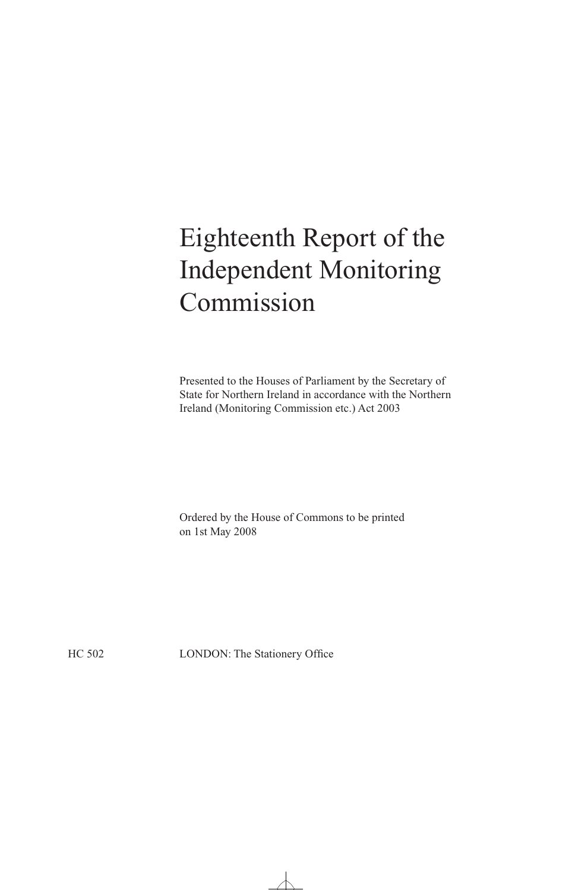# Eighteenth Report of the Independent Monitoring Commission

Presented to the Houses of Parliament by the Secretary of State for Northern Ireland in accordance with the Northern Ireland (Monitoring Commission etc.) Act 2003

Ordered by the House of Commons to be printed on 1st May 2008

HC 502 LONDON: The Stationery Office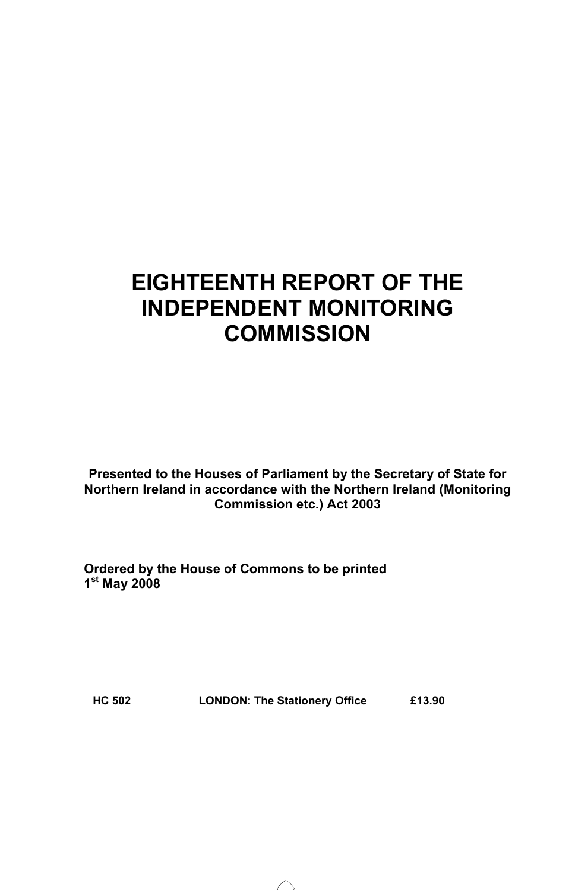# **EIGHTEENTH REPORT OF THE INDEPENDENT MONITORING COMMISSION**

**Presented to the Houses of Parliament by the Secretary of State for Northern Ireland in accordance with the Northern Ireland (Monitoring Commission etc.) Act 2003** 

**Ordered by the House of Commons to be printed 1st May 2008** 

**HC 502 LONDON: The Stationery Office £13.90**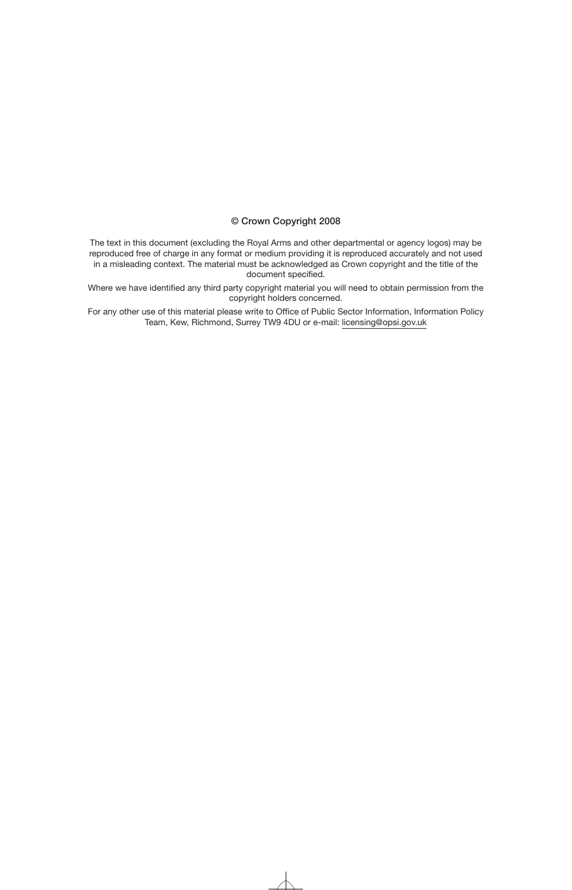### © Crown Copyright 2008

The text in this document (excluding the Royal Arms and other departmental or agency logos) may be reproduced free of charge in any format or medium providing it is reproduced accurately and not used in a misleading context. The material must be acknowledged as Crown copyright and the title of the document specified.

Where we have identified any third party copyright material you will need to obtain permission from the copyright holders concerned.

For any other use of this material please write to Office of Public Sector Information, Information Policy Team, Kew, Richmond, Surrey TW9 4DU or e-mail: licensing@opsi.gov.uk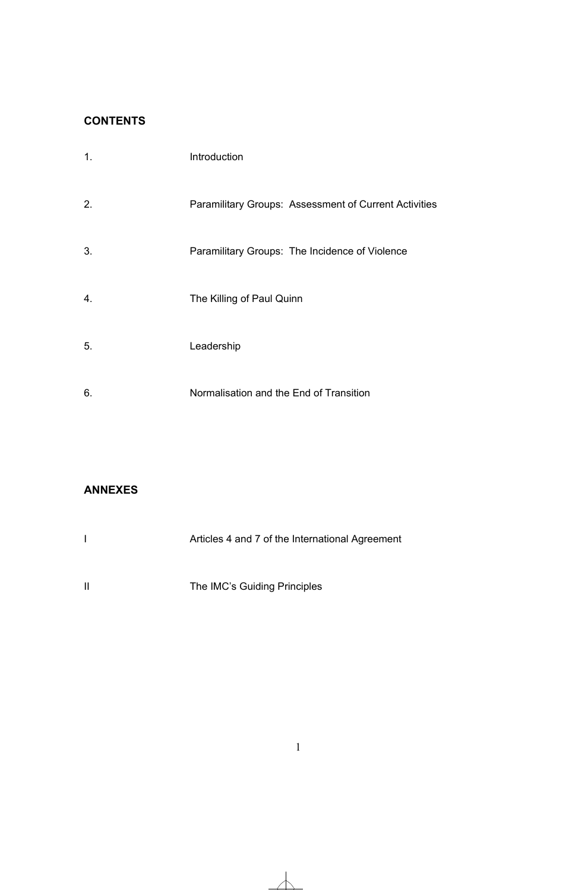### **CONTENTS**

| 1. | Introduction                                          |
|----|-------------------------------------------------------|
| 2. | Paramilitary Groups: Assessment of Current Activities |
| 3. | Paramilitary Groups: The Incidence of Violence        |
| 4. | The Killing of Paul Quinn                             |
| 5. | Leadership                                            |
| 6. | Normalisation and the End of Transition               |

### **ANNEXES**

|   | Articles 4 and 7 of the International Agreement |
|---|-------------------------------------------------|
| Ш | The IMC's Guiding Principles                    |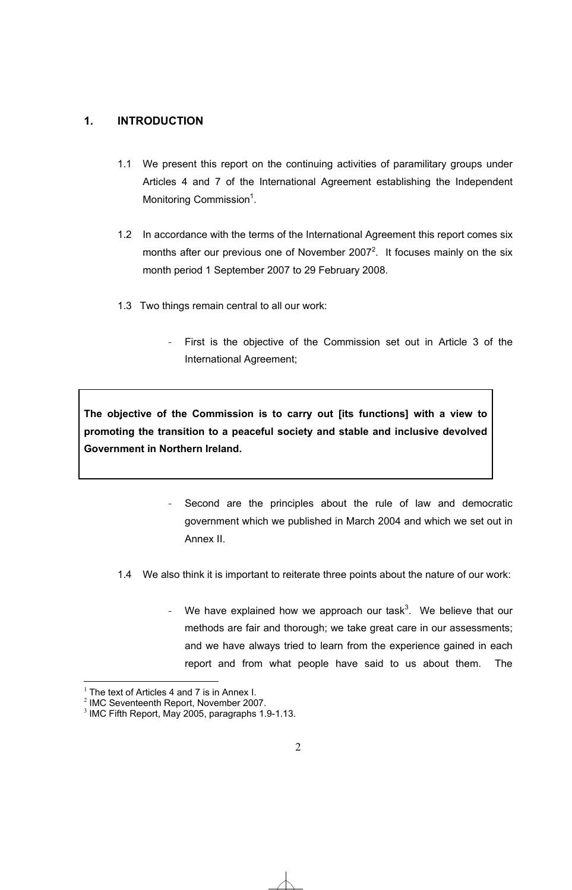### **1. INTRODUCTION**

- 1.1 We present this report on the continuing activities of paramilitary groups under Articles 4 and 7 of the International Agreement establishing the Independent Monitoring Commission<sup>1</sup>.
- 1.2 In accordance with the terms of the International Agreement this report comes six months after our previous one of November 2007<sup>2</sup>. It focuses mainly on the six month period 1 September 2007 to 29 February 2008.
- 1.3 Two things remain central to all our work:
	- First is the objective of the Commission set out in Article 3 of the International Agreement;

**The objective of the Commission is to carry out [its functions] with a view to promoting the transition to a peaceful society and stable and inclusive devolved Government in Northern Ireland.** 

- Second are the principles about the rule of law and democratic government which we published in March 2004 and which we set out in Annex II.
- 1.4 We also think it is important to reiterate three points about the nature of our work:
	- We have explained how we approach our task<sup>3</sup>. We believe that our methods are fair and thorough; we take great care in our assessments; and we have always tried to learn from the experience gained in each report and from what people have said to us about them. The

1

 $<sup>1</sup>$  The text of Articles 4 and 7 is in Annex I.</sup>

<sup>2</sup> IMC Seventeenth Report, November 2007.

<sup>&</sup>lt;sup>3</sup> IMC Fifth Report, May 2005, paragraphs 1.9-1.13.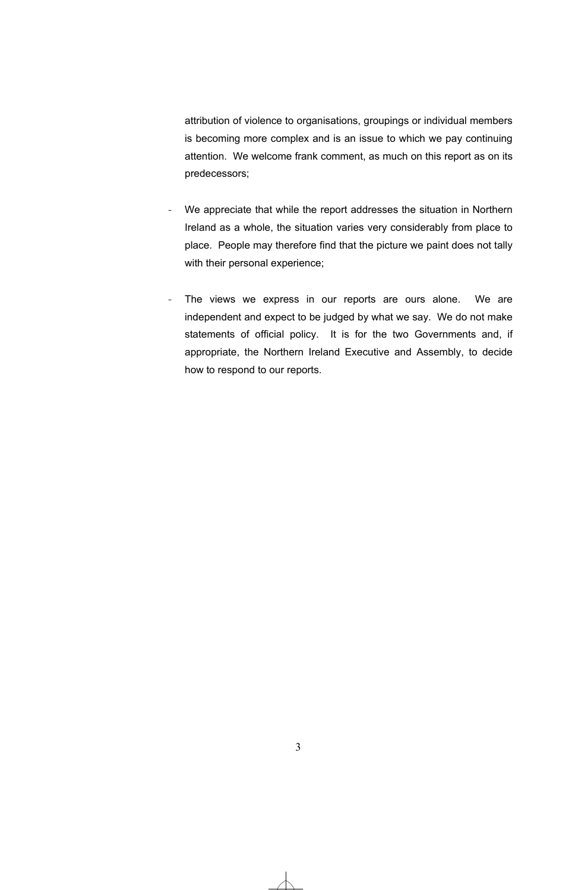attribution of violence to organisations, groupings or individual members is becoming more complex and is an issue to which we pay continuing attention. We welcome frank comment, as much on this report as on its predecessors;

- We appreciate that while the report addresses the situation in Northern Ireland as a whole, the situation varies very considerably from place to place. People may therefore find that the picture we paint does not tally with their personal experience;
- The views we express in our reports are ours alone. We are independent and expect to be judged by what we say. We do not make statements of official policy. It is for the two Governments and, if appropriate, the Northern Ireland Executive and Assembly, to decide how to respond to our reports.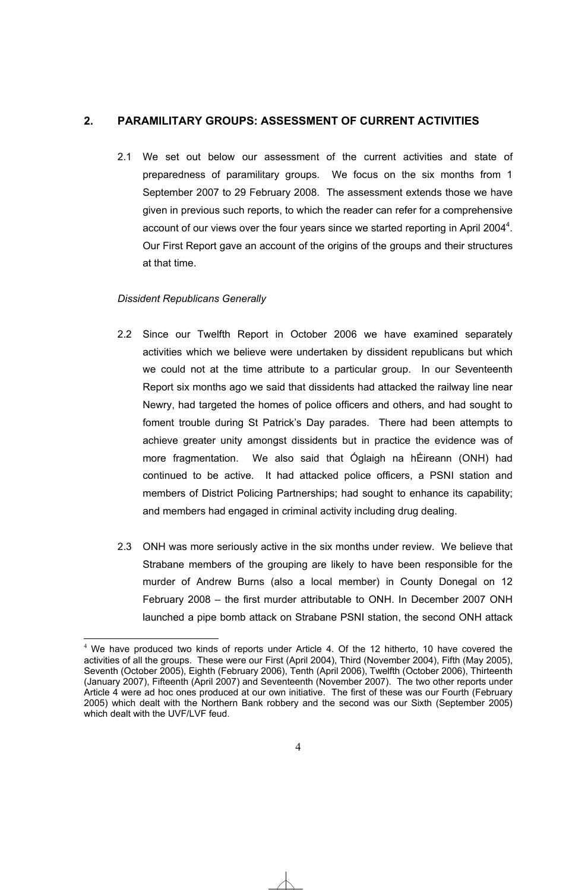### **2. PARAMILITARY GROUPS: ASSESSMENT OF CURRENT ACTIVITIES**

2.1 We set out below our assessment of the current activities and state of preparedness of paramilitary groups. We focus on the six months from 1 September 2007 to 29 February 2008. The assessment extends those we have given in previous such reports, to which the reader can refer for a comprehensive account of our views over the four years since we started reporting in April 2004 $4$ . Our First Report gave an account of the origins of the groups and their structures at that time.

### *Dissident Republicans Generally*

-

- 2.2 Since our Twelfth Report in October 2006 we have examined separately activities which we believe were undertaken by dissident republicans but which we could not at the time attribute to a particular group. In our Seventeenth Report six months ago we said that dissidents had attacked the railway line near Newry, had targeted the homes of police officers and others, and had sought to foment trouble during St Patrick's Day parades. There had been attempts to achieve greater unity amongst dissidents but in practice the evidence was of more fragmentation. We also said that Óglaigh na hÉireann (ONH) had continued to be active. It had attacked police officers, a PSNI station and members of District Policing Partnerships; had sought to enhance its capability; and members had engaged in criminal activity including drug dealing.
- 2.3 ONH was more seriously active in the six months under review. We believe that Strabane members of the grouping are likely to have been responsible for the murder of Andrew Burns (also a local member) in County Donegal on 12 February 2008 – the first murder attributable to ONH. In December 2007 ONH launched a pipe bomb attack on Strabane PSNI station, the second ONH attack

 $4$  We have produced two kinds of reports under Article 4. Of the 12 hitherto, 10 have covered the activities of all the groups. These were our First (April 2004), Third (November 2004), Fifth (May 2005), Seventh (October 2005), Eighth (February 2006), Tenth (April 2006), Twelfth (October 2006), Thirteenth (January 2007), Fifteenth (April 2007) and Seventeenth (November 2007). The two other reports under Article 4 were ad hoc ones produced at our own initiative. The first of these was our Fourth (February 2005) which dealt with the Northern Bank robbery and the second was our Sixth (September 2005) which dealt with the UVF/LVF feud.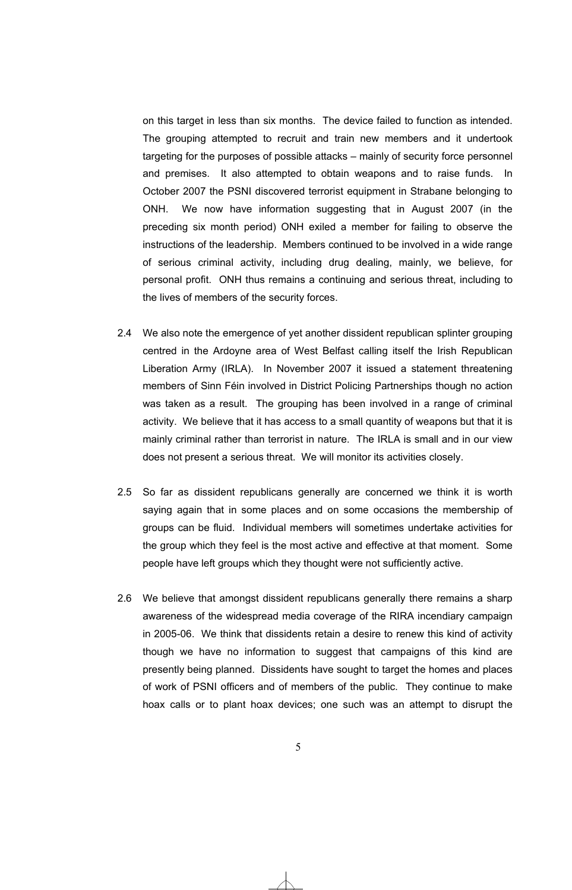on this target in less than six months. The device failed to function as intended. The grouping attempted to recruit and train new members and it undertook targeting for the purposes of possible attacks – mainly of security force personnel and premises. It also attempted to obtain weapons and to raise funds. In October 2007 the PSNI discovered terrorist equipment in Strabane belonging to ONH. We now have information suggesting that in August 2007 (in the preceding six month period) ONH exiled a member for failing to observe the instructions of the leadership. Members continued to be involved in a wide range of serious criminal activity, including drug dealing, mainly, we believe, for personal profit. ONH thus remains a continuing and serious threat, including to the lives of members of the security forces.

- 2.4 We also note the emergence of yet another dissident republican splinter grouping centred in the Ardoyne area of West Belfast calling itself the Irish Republican Liberation Army (IRLA). In November 2007 it issued a statement threatening members of Sinn Féin involved in District Policing Partnerships though no action was taken as a result. The grouping has been involved in a range of criminal activity. We believe that it has access to a small quantity of weapons but that it is mainly criminal rather than terrorist in nature. The IRLA is small and in our view does not present a serious threat. We will monitor its activities closely.
- 2.5 So far as dissident republicans generally are concerned we think it is worth saying again that in some places and on some occasions the membership of groups can be fluid. Individual members will sometimes undertake activities for the group which they feel is the most active and effective at that moment. Some people have left groups which they thought were not sufficiently active.
- 2.6 We believe that amongst dissident republicans generally there remains a sharp awareness of the widespread media coverage of the RIRA incendiary campaign in 2005-06. We think that dissidents retain a desire to renew this kind of activity though we have no information to suggest that campaigns of this kind are presently being planned. Dissidents have sought to target the homes and places of work of PSNI officers and of members of the public. They continue to make hoax calls or to plant hoax devices; one such was an attempt to disrupt the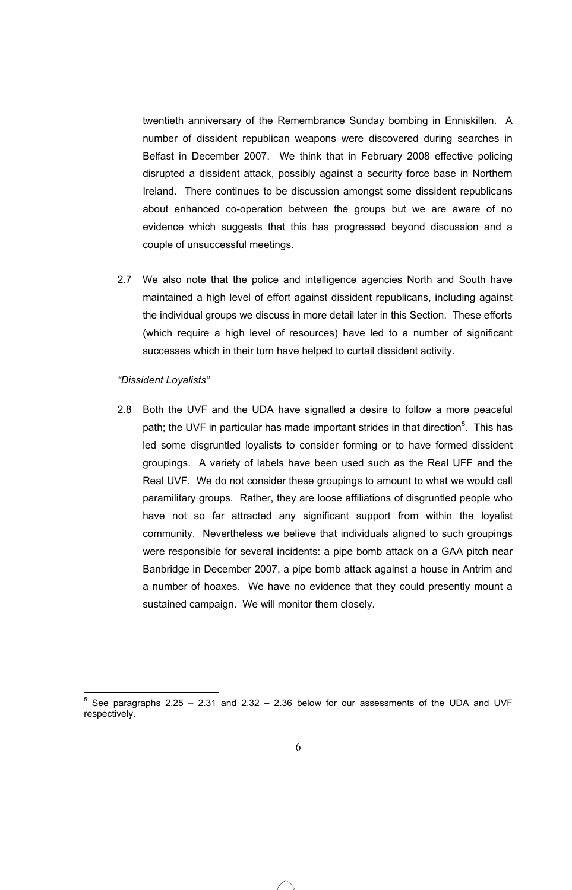twentieth anniversary of the Remembrance Sunday bombing in Enniskillen. A number of dissident republican weapons were discovered during searches in Belfast in December 2007. We think that in February 2008 effective policing disrupted a dissident attack, possibly against a security force base in Northern Ireland. There continues to be discussion amongst some dissident republicans about enhanced co-operation between the groups but we are aware of no evidence which suggests that this has progressed beyond discussion and a couple of unsuccessful meetings.

2.7 We also note that the police and intelligence agencies North and South have maintained a high level of effort against dissident republicans, including against the individual groups we discuss in more detail later in this Section. These efforts (which require a high level of resources) have led to a number of significant successes which in their turn have helped to curtail dissident activity.

### *"Dissident Loyalists"*

2.8 Both the UVF and the UDA have signalled a desire to follow a more peaceful path; the UVF in particular has made important strides in that direction<sup>5</sup>. This has led some disgruntled loyalists to consider forming or to have formed dissident groupings. A variety of labels have been used such as the Real UFF and the Real UVF. We do not consider these groupings to amount to what we would call paramilitary groups. Rather, they are loose affiliations of disgruntled people who have not so far attracted any significant support from within the loyalist community. Nevertheless we believe that individuals aligned to such groupings were responsible for several incidents: a pipe bomb attack on a GAA pitch near Banbridge in December 2007, a pipe bomb attack against a house in Antrim and a number of hoaxes. We have no evidence that they could presently mount a sustained campaign. We will monitor them closely.

 5 See paragraphs 2.25 – 2.31 and 2.32 **–** 2.36 below for our assessments of the UDA and UVF respectively.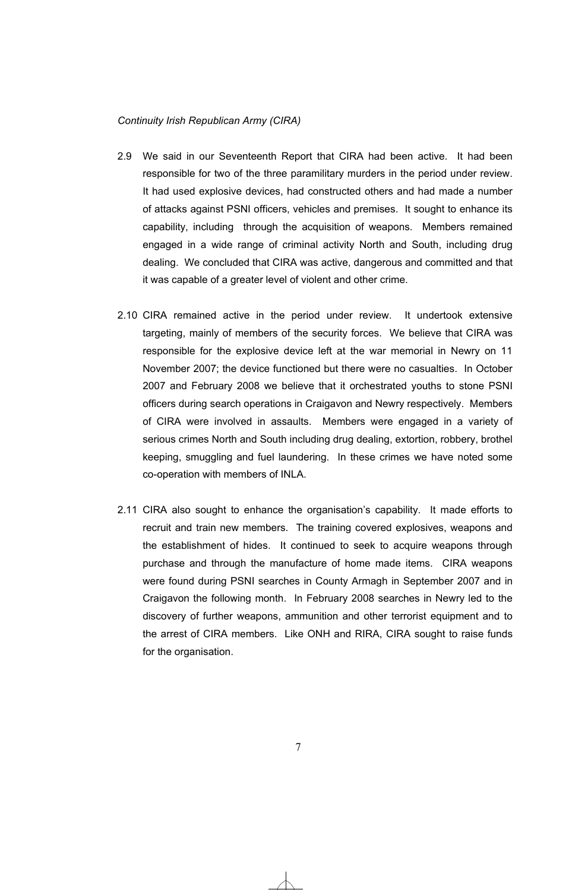### *Continuity Irish Republican Army (CIRA)*

- 2.9 We said in our Seventeenth Report that CIRA had been active. It had been responsible for two of the three paramilitary murders in the period under review. It had used explosive devices, had constructed others and had made a number of attacks against PSNI officers, vehicles and premises. It sought to enhance its capability, including through the acquisition of weapons. Members remained engaged in a wide range of criminal activity North and South, including drug dealing. We concluded that CIRA was active, dangerous and committed and that it was capable of a greater level of violent and other crime.
- 2.10 CIRA remained active in the period under review. It undertook extensive targeting, mainly of members of the security forces. We believe that CIRA was responsible for the explosive device left at the war memorial in Newry on 11 November 2007; the device functioned but there were no casualties. In October 2007 and February 2008 we believe that it orchestrated youths to stone PSNI officers during search operations in Craigavon and Newry respectively. Members of CIRA were involved in assaults. Members were engaged in a variety of serious crimes North and South including drug dealing, extortion, robbery, brothel keeping, smuggling and fuel laundering. In these crimes we have noted some co-operation with members of INLA.
- 2.11 CIRA also sought to enhance the organisation's capability. It made efforts to recruit and train new members. The training covered explosives, weapons and the establishment of hides. It continued to seek to acquire weapons through purchase and through the manufacture of home made items. CIRA weapons were found during PSNI searches in County Armagh in September 2007 and in Craigavon the following month. In February 2008 searches in Newry led to the discovery of further weapons, ammunition and other terrorist equipment and to the arrest of CIRA members. Like ONH and RIRA, CIRA sought to raise funds for the organisation.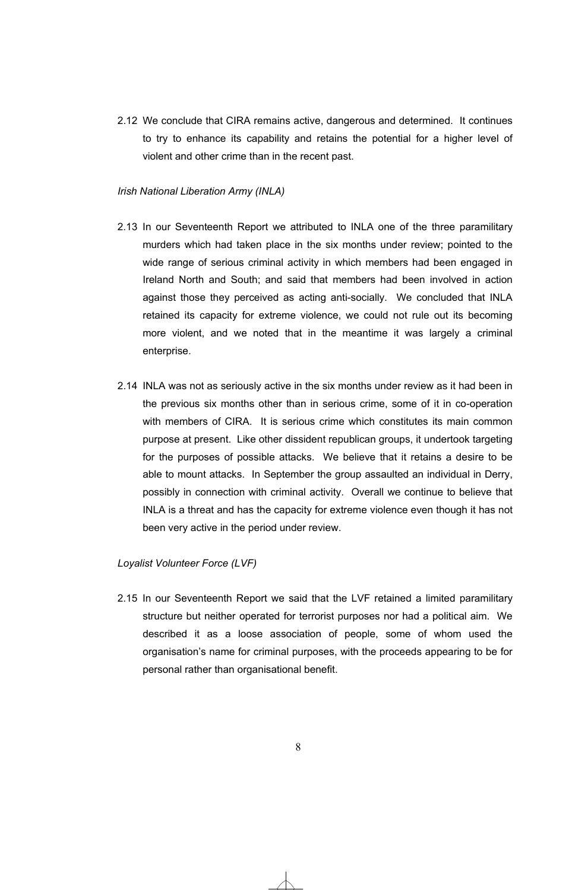2.12 We conclude that CIRA remains active, dangerous and determined. It continues to try to enhance its capability and retains the potential for a higher level of violent and other crime than in the recent past.

### *Irish National Liberation Army (INLA)*

- 2.13 In our Seventeenth Report we attributed to INLA one of the three paramilitary murders which had taken place in the six months under review; pointed to the wide range of serious criminal activity in which members had been engaged in Ireland North and South; and said that members had been involved in action against those they perceived as acting anti-socially. We concluded that INLA retained its capacity for extreme violence, we could not rule out its becoming more violent, and we noted that in the meantime it was largely a criminal enterprise.
- 2.14 INLA was not as seriously active in the six months under review as it had been in the previous six months other than in serious crime, some of it in co-operation with members of CIRA. It is serious crime which constitutes its main common purpose at present. Like other dissident republican groups, it undertook targeting for the purposes of possible attacks. We believe that it retains a desire to be able to mount attacks. In September the group assaulted an individual in Derry, possibly in connection with criminal activity. Overall we continue to believe that INLA is a threat and has the capacity for extreme violence even though it has not been very active in the period under review.

### *Loyalist Volunteer Force (LVF)*

2.15 In our Seventeenth Report we said that the LVF retained a limited paramilitary structure but neither operated for terrorist purposes nor had a political aim. We described it as a loose association of people, some of whom used the organisation's name for criminal purposes, with the proceeds appearing to be for personal rather than organisational benefit.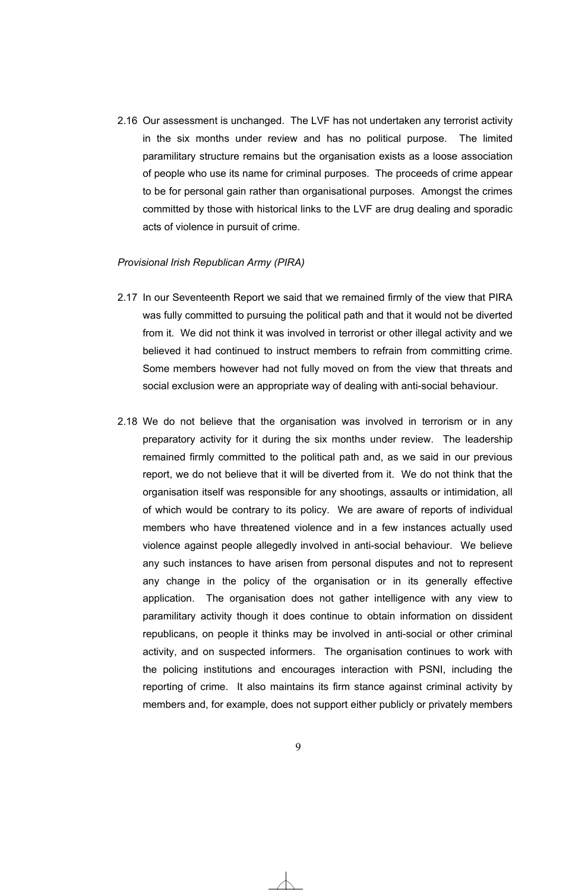2.16 Our assessment is unchanged. The LVF has not undertaken any terrorist activity in the six months under review and has no political purpose. The limited paramilitary structure remains but the organisation exists as a loose association of people who use its name for criminal purposes. The proceeds of crime appear to be for personal gain rather than organisational purposes. Amongst the crimes committed by those with historical links to the LVF are drug dealing and sporadic acts of violence in pursuit of crime.

### *Provisional Irish Republican Army (PIRA)*

- 2.17 In our Seventeenth Report we said that we remained firmly of the view that PIRA was fully committed to pursuing the political path and that it would not be diverted from it. We did not think it was involved in terrorist or other illegal activity and we believed it had continued to instruct members to refrain from committing crime. Some members however had not fully moved on from the view that threats and social exclusion were an appropriate way of dealing with anti-social behaviour.
- 2.18 We do not believe that the organisation was involved in terrorism or in any preparatory activity for it during the six months under review. The leadership remained firmly committed to the political path and, as we said in our previous report, we do not believe that it will be diverted from it. We do not think that the organisation itself was responsible for any shootings, assaults or intimidation, all of which would be contrary to its policy. We are aware of reports of individual members who have threatened violence and in a few instances actually used violence against people allegedly involved in anti-social behaviour. We believe any such instances to have arisen from personal disputes and not to represent any change in the policy of the organisation or in its generally effective application. The organisation does not gather intelligence with any view to paramilitary activity though it does continue to obtain information on dissident republicans, on people it thinks may be involved in anti-social or other criminal activity, and on suspected informers. The organisation continues to work with the policing institutions and encourages interaction with PSNI, including the reporting of crime. It also maintains its firm stance against criminal activity by members and, for example, does not support either publicly or privately members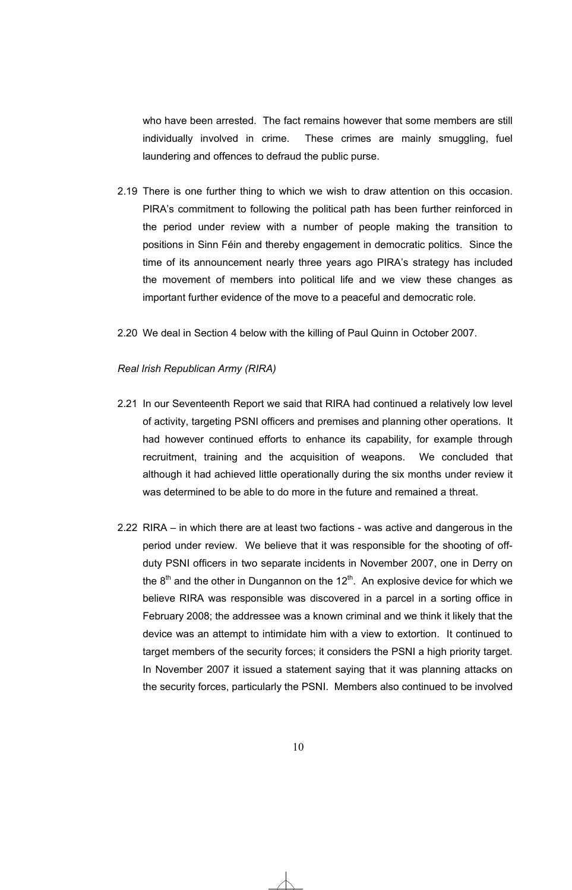who have been arrested. The fact remains however that some members are still individually involved in crime. These crimes are mainly smuggling, fuel laundering and offences to defraud the public purse.

- 2.19 There is one further thing to which we wish to draw attention on this occasion. PIRA's commitment to following the political path has been further reinforced in the period under review with a number of people making the transition to positions in Sinn Féin and thereby engagement in democratic politics. Since the time of its announcement nearly three years ago PIRA's strategy has included the movement of members into political life and we view these changes as important further evidence of the move to a peaceful and democratic role.
- 2.20 We deal in Section 4 below with the killing of Paul Quinn in October 2007.

### *Real Irish Republican Army (RIRA)*

- 2.21 In our Seventeenth Report we said that RIRA had continued a relatively low level of activity, targeting PSNI officers and premises and planning other operations. It had however continued efforts to enhance its capability, for example through recruitment, training and the acquisition of weapons. We concluded that although it had achieved little operationally during the six months under review it was determined to be able to do more in the future and remained a threat.
- 2.22 RIRA in which there are at least two factions was active and dangerous in the period under review. We believe that it was responsible for the shooting of offduty PSNI officers in two separate incidents in November 2007, one in Derry on the  $8<sup>th</sup>$  and the other in Dungannon on the 12<sup>th</sup>. An explosive device for which we believe RIRA was responsible was discovered in a parcel in a sorting office in February 2008; the addressee was a known criminal and we think it likely that the device was an attempt to intimidate him with a view to extortion. It continued to target members of the security forces; it considers the PSNI a high priority target. In November 2007 it issued a statement saying that it was planning attacks on the security forces, particularly the PSNI. Members also continued to be involved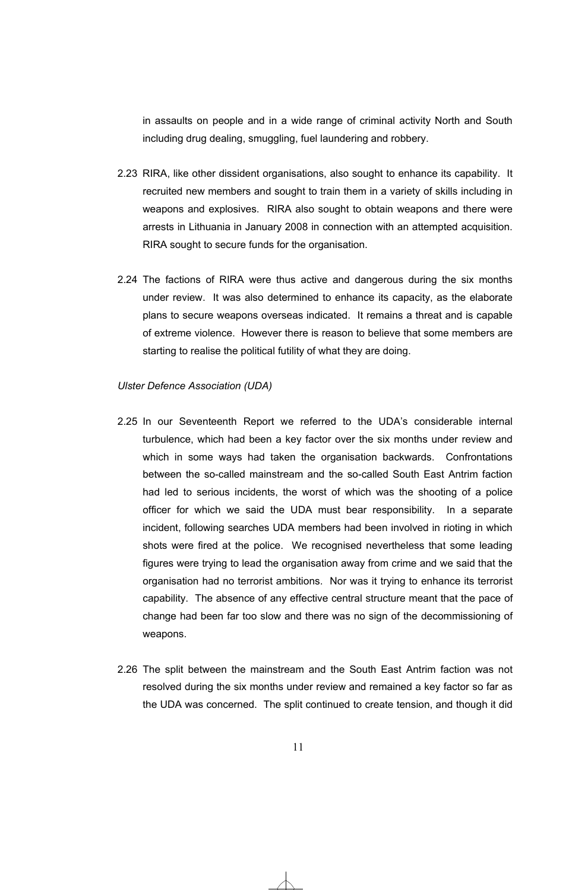in assaults on people and in a wide range of criminal activity North and South including drug dealing, smuggling, fuel laundering and robbery.

- 2.23 RIRA, like other dissident organisations, also sought to enhance its capability. It recruited new members and sought to train them in a variety of skills including in weapons and explosives. RIRA also sought to obtain weapons and there were arrests in Lithuania in January 2008 in connection with an attempted acquisition. RIRA sought to secure funds for the organisation.
- 2.24 The factions of RIRA were thus active and dangerous during the six months under review. It was also determined to enhance its capacity, as the elaborate plans to secure weapons overseas indicated. It remains a threat and is capable of extreme violence. However there is reason to believe that some members are starting to realise the political futility of what they are doing.

### *Ulster Defence Association (UDA)*

- 2.25 In our Seventeenth Report we referred to the UDA's considerable internal turbulence, which had been a key factor over the six months under review and which in some ways had taken the organisation backwards. Confrontations between the so-called mainstream and the so-called South East Antrim faction had led to serious incidents, the worst of which was the shooting of a police officer for which we said the UDA must bear responsibility. In a separate incident, following searches UDA members had been involved in rioting in which shots were fired at the police. We recognised nevertheless that some leading figures were trying to lead the organisation away from crime and we said that the organisation had no terrorist ambitions. Nor was it trying to enhance its terrorist capability. The absence of any effective central structure meant that the pace of change had been far too slow and there was no sign of the decommissioning of weapons.
- 2.26 The split between the mainstream and the South East Antrim faction was not resolved during the six months under review and remained a key factor so far as the UDA was concerned. The split continued to create tension, and though it did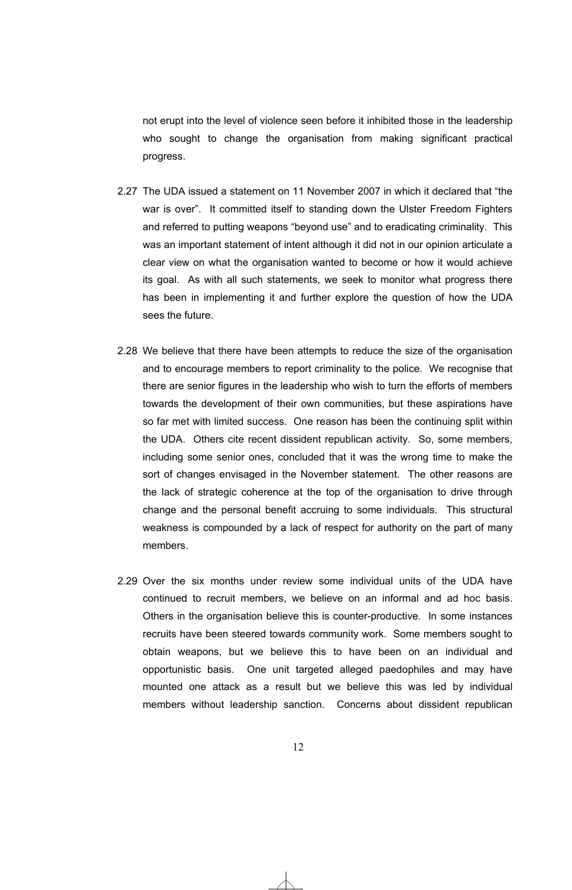not erupt into the level of violence seen before it inhibited those in the leadership who sought to change the organisation from making significant practical progress.

- 2.27 The UDA issued a statement on 11 November 2007 in which it declared that "the war is over". It committed itself to standing down the Ulster Freedom Fighters and referred to putting weapons "beyond use" and to eradicating criminality. This was an important statement of intent although it did not in our opinion articulate a clear view on what the organisation wanted to become or how it would achieve its goal. As with all such statements, we seek to monitor what progress there has been in implementing it and further explore the question of how the UDA sees the future.
- 2.28 We believe that there have been attempts to reduce the size of the organisation and to encourage members to report criminality to the police. We recognise that there are senior figures in the leadership who wish to turn the efforts of members towards the development of their own communities, but these aspirations have so far met with limited success. One reason has been the continuing split within the UDA. Others cite recent dissident republican activity. So, some members, including some senior ones, concluded that it was the wrong time to make the sort of changes envisaged in the November statement. The other reasons are the lack of strategic coherence at the top of the organisation to drive through change and the personal benefit accruing to some individuals. This structural weakness is compounded by a lack of respect for authority on the part of many members.
- 2.29 Over the six months under review some individual units of the UDA have continued to recruit members, we believe on an informal and ad hoc basis. Others in the organisation believe this is counter-productive. In some instances recruits have been steered towards community work. Some members sought to obtain weapons, but we believe this to have been on an individual and opportunistic basis. One unit targeted alleged paedophiles and may have mounted one attack as a result but we believe this was led by individual members without leadership sanction. Concerns about dissident republican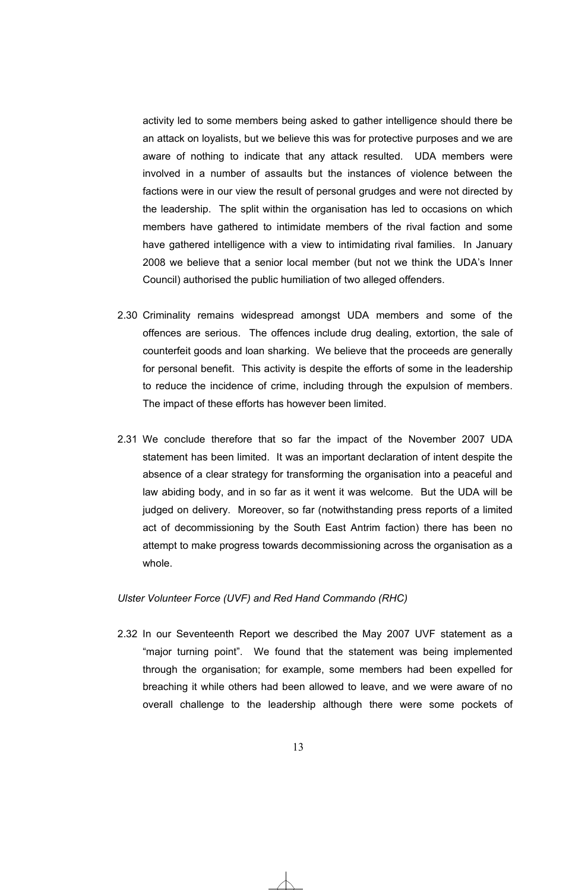activity led to some members being asked to gather intelligence should there be an attack on loyalists, but we believe this was for protective purposes and we are aware of nothing to indicate that any attack resulted. UDA members were involved in a number of assaults but the instances of violence between the factions were in our view the result of personal grudges and were not directed by the leadership. The split within the organisation has led to occasions on which members have gathered to intimidate members of the rival faction and some have gathered intelligence with a view to intimidating rival families. In January 2008 we believe that a senior local member (but not we think the UDA's Inner Council) authorised the public humiliation of two alleged offenders.

- 2.30 Criminality remains widespread amongst UDA members and some of the offences are serious. The offences include drug dealing, extortion, the sale of counterfeit goods and loan sharking. We believe that the proceeds are generally for personal benefit. This activity is despite the efforts of some in the leadership to reduce the incidence of crime, including through the expulsion of members. The impact of these efforts has however been limited.
- 2.31 We conclude therefore that so far the impact of the November 2007 UDA statement has been limited. It was an important declaration of intent despite the absence of a clear strategy for transforming the organisation into a peaceful and law abiding body, and in so far as it went it was welcome. But the UDA will be judged on delivery. Moreover, so far (notwithstanding press reports of a limited act of decommissioning by the South East Antrim faction) there has been no attempt to make progress towards decommissioning across the organisation as a whole.

### *Ulster Volunteer Force (UVF) and Red Hand Commando (RHC)*

2.32 In our Seventeenth Report we described the May 2007 UVF statement as a "major turning point". We found that the statement was being implemented through the organisation; for example, some members had been expelled for breaching it while others had been allowed to leave, and we were aware of no overall challenge to the leadership although there were some pockets of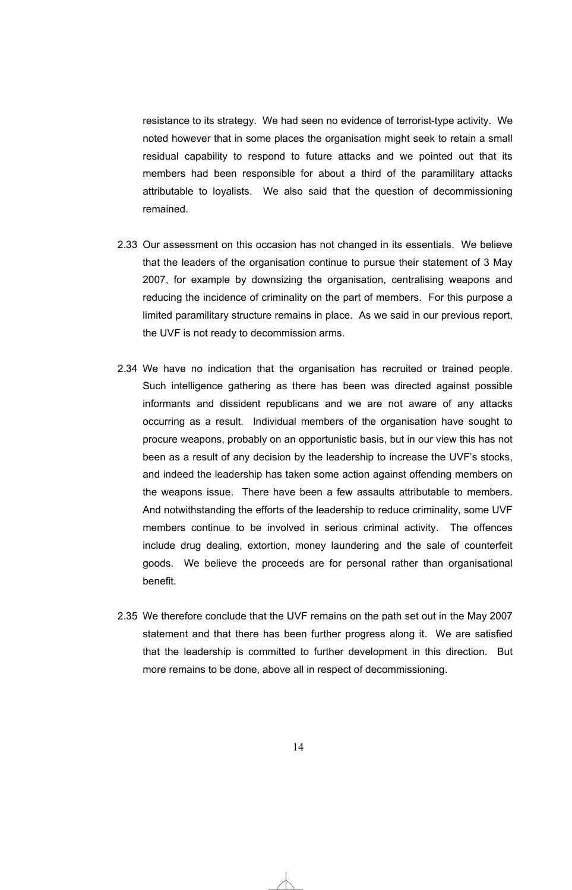resistance to its strategy. We had seen no evidence of terrorist-type activity. We noted however that in some places the organisation might seek to retain a small residual capability to respond to future attacks and we pointed out that its members had been responsible for about a third of the paramilitary attacks attributable to loyalists. We also said that the question of decommissioning remained.

- 2.33 Our assessment on this occasion has not changed in its essentials. We believe that the leaders of the organisation continue to pursue their statement of 3 May 2007, for example by downsizing the organisation, centralising weapons and reducing the incidence of criminality on the part of members. For this purpose a limited paramilitary structure remains in place. As we said in our previous report, the UVF is not ready to decommission arms.
- 2.34 We have no indication that the organisation has recruited or trained people. Such intelligence gathering as there has been was directed against possible informants and dissident republicans and we are not aware of any attacks occurring as a result. Individual members of the organisation have sought to procure weapons, probably on an opportunistic basis, but in our view this has not been as a result of any decision by the leadership to increase the UVF's stocks, and indeed the leadership has taken some action against offending members on the weapons issue. There have been a few assaults attributable to members. And notwithstanding the efforts of the leadership to reduce criminality, some UVF members continue to be involved in serious criminal activity. The offences include drug dealing, extortion, money laundering and the sale of counterfeit goods. We believe the proceeds are for personal rather than organisational benefit.
- 2.35 We therefore conclude that the UVF remains on the path set out in the May 2007 statement and that there has been further progress along it. We are satisfied that the leadership is committed to further development in this direction. But more remains to be done, above all in respect of decommissioning.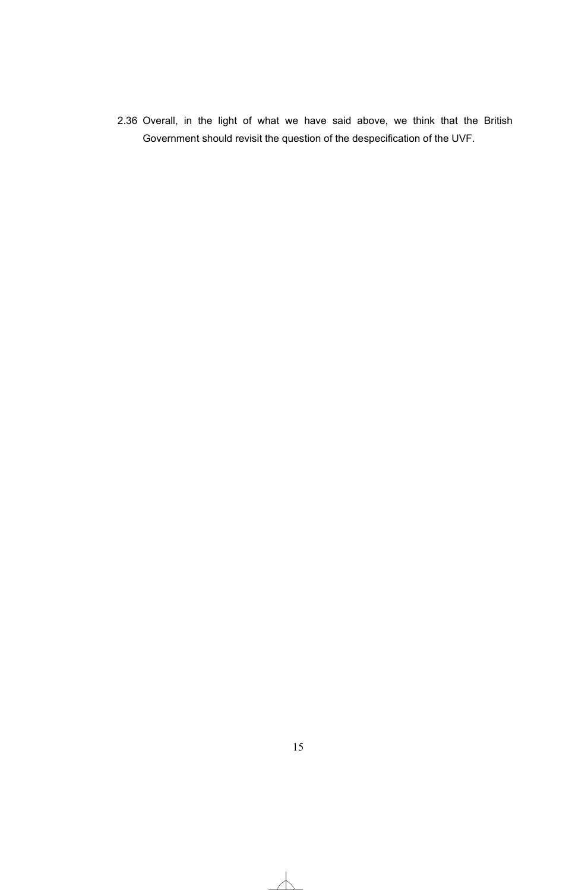2.36 Overall, in the light of what we have said above, we think that the British Government should revisit the question of the despecification of the UVF.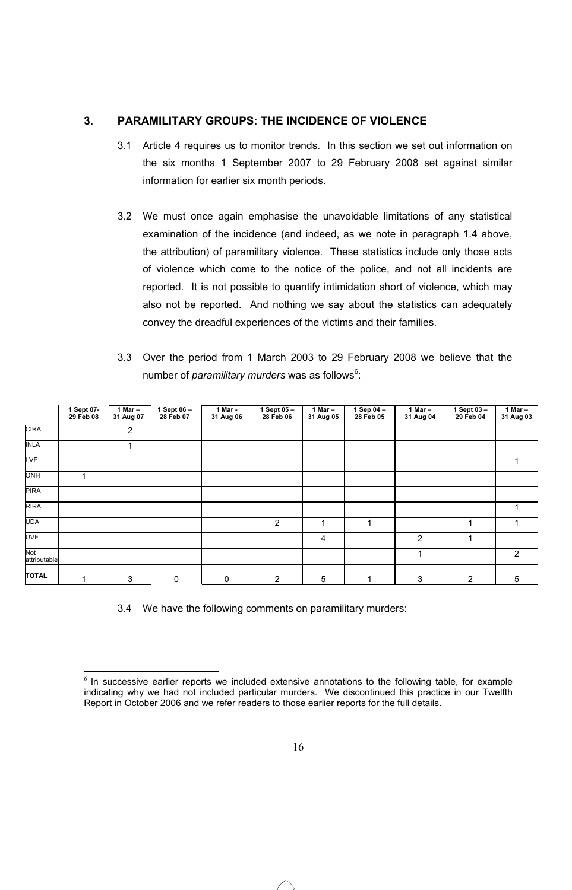### **3. PARAMILITARY GROUPS: THE INCIDENCE OF VIOLENCE**

- 3.1 Article 4 requires us to monitor trends. In this section we set out information on the six months 1 September 2007 to 29 February 2008 set against similar information for earlier six month periods.
- 3.2 We must once again emphasise the unavoidable limitations of any statistical examination of the incidence (and indeed, as we note in paragraph 1.4 above, the attribution) of paramilitary violence. These statistics include only those acts of violence which come to the notice of the police, and not all incidents are reported. It is not possible to quantify intimidation short of violence, which may also not be reported. And nothing we say about the statistics can adequately convey the dreadful experiences of the victims and their families.

| 3.3 Over the period from 1 March 2003 to 29 February 2008 we believe that the |  |  |  |  |  |  |  |
|-------------------------------------------------------------------------------|--|--|--|--|--|--|--|
| number of <i>paramilitary murders</i> was as follows <sup>6</sup> :           |  |  |  |  |  |  |  |

|                     | 1 Sept 07-<br>29 Feb 08 | 1 Mar $-$<br>31 Aug 07 | 1 Sept 06 -<br>28 Feb 07 | 1 Mar -<br>31 Aug 06 | 1 Sept $05 -$<br>28 Feb 06 | 1 Mar -<br>31 Aug 05 | 1 Sep 04 -<br>28 Feb 05 | 1 Mar $-$<br>31 Aug 04 | 1 Sept 03 -<br>29 Feb 04 | 1 Mar $-$<br>31 Aug 03 |
|---------------------|-------------------------|------------------------|--------------------------|----------------------|----------------------------|----------------------|-------------------------|------------------------|--------------------------|------------------------|
| <b>CIRA</b>         |                         | $\overline{2}$         |                          |                      |                            |                      |                         |                        |                          |                        |
| <b>INLA</b>         |                         | 1                      |                          |                      |                            |                      |                         |                        |                          |                        |
| LVF                 |                         |                        |                          |                      |                            |                      |                         |                        |                          |                        |
| ONH                 |                         |                        |                          |                      |                            |                      |                         |                        |                          |                        |
| PIRA                |                         |                        |                          |                      |                            |                      |                         |                        |                          |                        |
| <b>RIRA</b>         |                         |                        |                          |                      |                            |                      |                         |                        |                          | 1                      |
| UDA                 |                         |                        |                          |                      | 2                          |                      | 4                       |                        | 1                        | 1                      |
| UVF                 |                         |                        |                          |                      |                            | 4                    |                         | 2                      | 1                        |                        |
| Not<br>attributable |                         |                        |                          |                      |                            |                      |                         |                        |                          | $\overline{2}$         |
| <b>TOTAL</b>        |                         | 3                      | 0                        | 0                    | $\overline{2}$             | 5                    |                         | 3                      | $\overline{2}$           | 5                      |

3.4 We have the following comments on paramilitary murders:

<sup>-</sup> $6$  In successive earlier reports we included extensive annotations to the following table, for example indicating why we had not included particular murders. We discontinued this practice in our Twelfth Report in October 2006 and we refer readers to those earlier reports for the full details.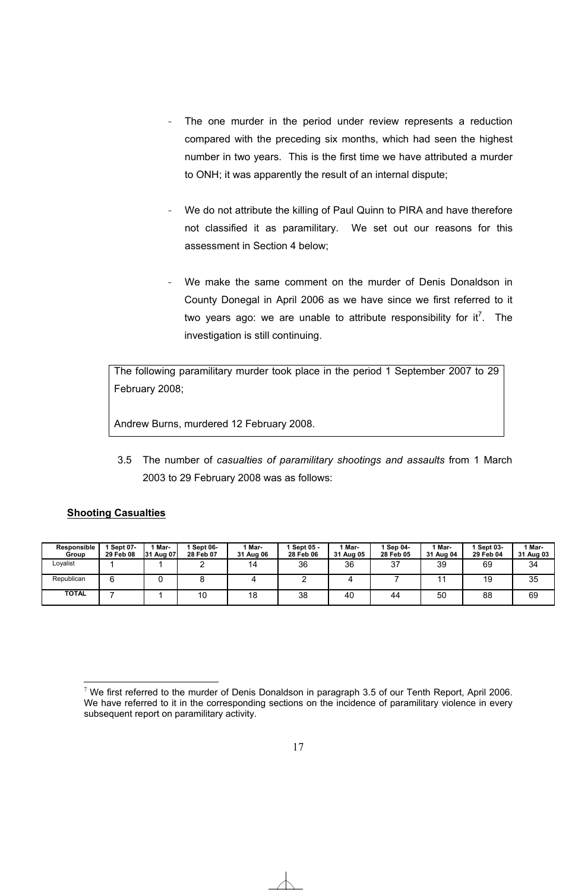- The one murder in the period under review represents a reduction compared with the preceding six months, which had seen the highest number in two years. This is the first time we have attributed a murder to ONH; it was apparently the result of an internal dispute;
- We do not attribute the killing of Paul Quinn to PIRA and have therefore not classified it as paramilitary. We set out our reasons for this assessment in Section 4 below;
- We make the same comment on the murder of Denis Donaldson in County Donegal in April 2006 as we have since we first referred to it two years ago: we are unable to attribute responsibility for it<sup>7</sup>. The investigation is still continuing.

The following paramilitary murder took place in the period 1 September 2007 to 29 February 2008;

Andrew Burns, murdered 12 February 2008.

3.5 The number of *casualties of paramilitary shootings and assaults* from 1 March 2003 to 29 February 2008 was as follows:

### **Shooting Casualties**

| Responsible<br>Group | <b>Sept 07-</b><br>29 Feb 08 | Mar-<br>31 Aug 07 | Sept 06-<br>28 Feb 07 | 1 Mar-<br>31 Aug 06 | Sept 05 -<br>28 Feb 06 | Mar-<br>31 Aug 05 | Sep 04-<br>28 Feb 05 | ' Mar-<br>31 Aug 04 | Sept 03-<br>29 Feb 04 | 1 Mar-<br>31 Aug 03 |
|----------------------|------------------------------|-------------------|-----------------------|---------------------|------------------------|-------------------|----------------------|---------------------|-----------------------|---------------------|
| Lovalist             |                              |                   |                       | 14                  | 36                     | 36                | 37                   | 39                  | 69                    | 34                  |
| Republican           | 6                            |                   |                       |                     |                        |                   |                      |                     | 19                    | 35                  |
| <b>TOTAL</b>         |                              |                   | 10                    | 18                  | 38                     | 40                | 44                   | 50                  | 88                    | 69                  |

<sup>-</sup><sup>7</sup> We first referred to the murder of Denis Donaldson in paragraph 3.5 of our Tenth Report, April 2006. We have referred to it in the corresponding sections on the incidence of paramilitary violence in every subsequent report on paramilitary activity.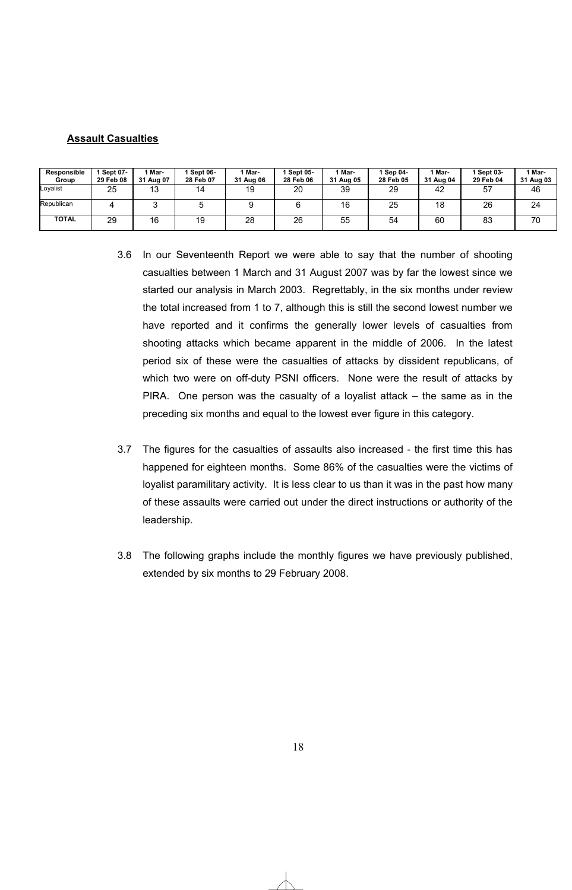### **Assault Casualties**

| Responsible<br>Group | <b>Sept 07-</b><br>29 Feb 08 | 1 Mar-<br>31 Aug 07 | Sept 06-<br>28 Feb 07 | ' Mar-<br>31 Aug 06 | Sept 05-<br>28 Feb 06 | 1 Mar-<br>31 Aug 05 | Sep 04-<br>28 Feb 05 | Mar-<br>31 Aug 04 | <b>Sept 03-</b><br>29 Feb 04 | 1 Mar-<br>31 Aug 03 |
|----------------------|------------------------------|---------------------|-----------------------|---------------------|-----------------------|---------------------|----------------------|-------------------|------------------------------|---------------------|
| Loyalist             | 25                           | 10<br>ں ا           | 14                    | 19                  | 20                    | 39                  | 29                   | 42                | 57                           | 46                  |
| Republican           |                              |                     |                       |                     |                       | 16                  | 25                   | 18                | 26                           | 24                  |
| TOTAL                | 29                           | 16                  | 19                    | 28                  | 26                    | 55                  | 54                   | 60                | 83                           | 70                  |

- 3.6 In our Seventeenth Report we were able to say that the number of shooting casualties between 1 March and 31 August 2007 was by far the lowest since we started our analysis in March 2003. Regrettably, in the six months under review the total increased from 1 to 7, although this is still the second lowest number we have reported and it confirms the generally lower levels of casualties from shooting attacks which became apparent in the middle of 2006. In the latest period six of these were the casualties of attacks by dissident republicans, of which two were on off-duty PSNI officers. None were the result of attacks by PIRA. One person was the casualty of a loyalist attack – the same as in the preceding six months and equal to the lowest ever figure in this category.
- 3.7 The figures for the casualties of assaults also increased the first time this has happened for eighteen months. Some 86% of the casualties were the victims of loyalist paramilitary activity. It is less clear to us than it was in the past how many of these assaults were carried out under the direct instructions or authority of the leadership.
- 3.8 The following graphs include the monthly figures we have previously published, extended by six months to 29 February 2008.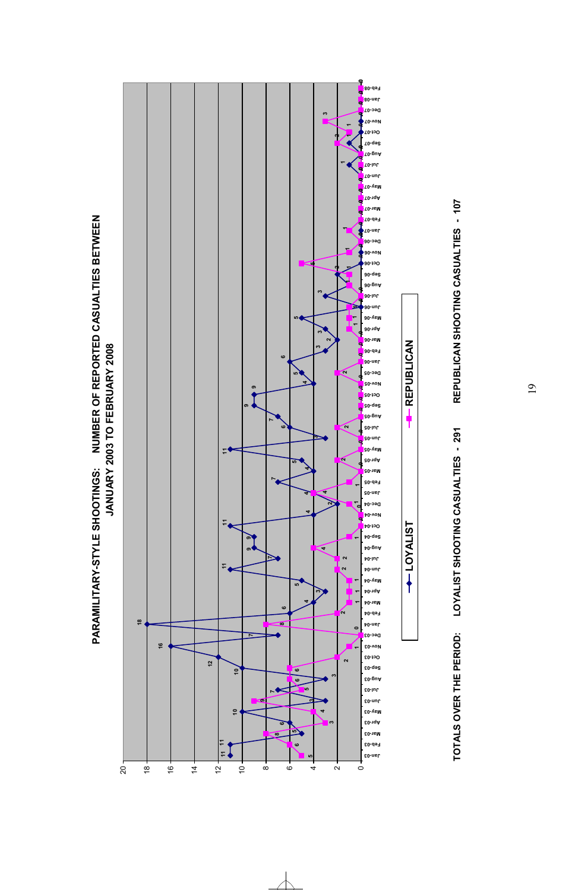





**LOYALIST REPUBLICAN**

**LSITKAO1** →

╉

**REPUBLICAN** 

19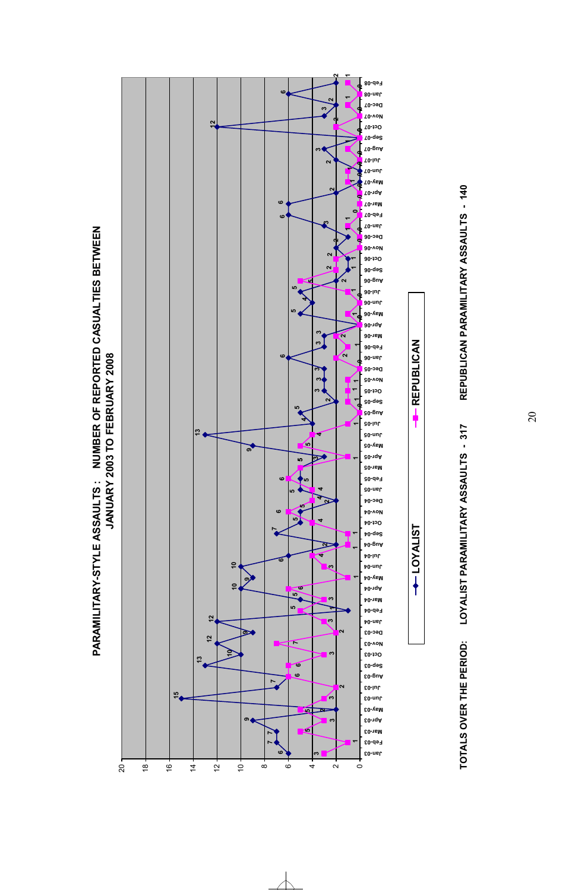

 $\sim$ 





**TOTALS OVER THE PERIOD: LOYALIST PARAMILITARY ASSAULTS - 317 REPUBLICAN PARAMILITARY ASSAULTS - 140**LOYALIST PARAMILITARY ASSAULTS - 317 TOTALS OVER THE PERIOD:

# REPUBLICAN PARAMILITARY ASSAULTS - 140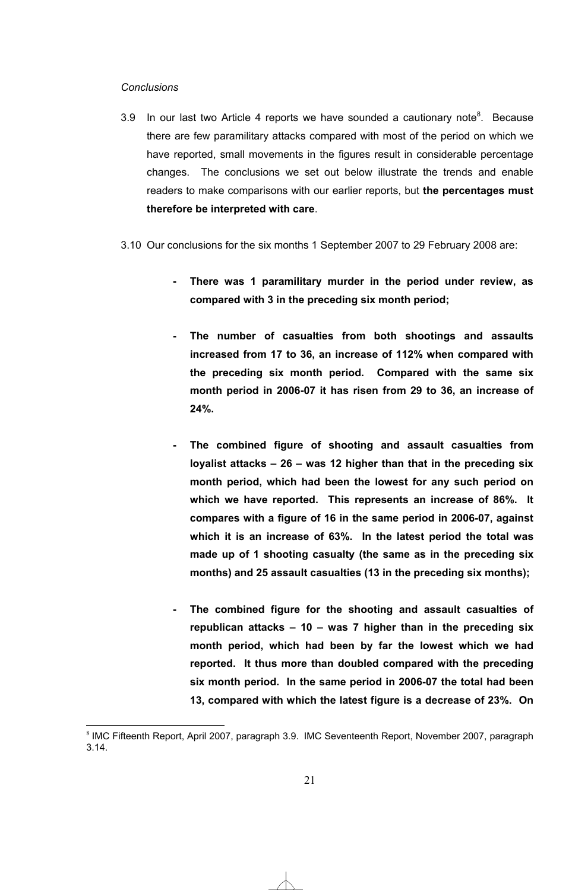### *Conclusions*

- 3.9 In our last two Article 4 reports we have sounded a cautionary note<sup>8</sup>. Because there are few paramilitary attacks compared with most of the period on which we have reported, small movements in the figures result in considerable percentage changes. The conclusions we set out below illustrate the trends and enable readers to make comparisons with our earlier reports, but **the percentages must therefore be interpreted with care**.
- 3.10 Our conclusions for the six months 1 September 2007 to 29 February 2008 are:
	- **There was 1 paramilitary murder in the period under review, as compared with 3 in the preceding six month period;**
	- **The number of casualties from both shootings and assaults increased from 17 to 36, an increase of 112% when compared with the preceding six month period. Compared with the same six month period in 2006-07 it has risen from 29 to 36, an increase of 24%.**
	- **The combined figure of shooting and assault casualties from loyalist attacks – 26 – was 12 higher than that in the preceding six month period, which had been the lowest for any such period on which we have reported. This represents an increase of 86%. It compares with a figure of 16 in the same period in 2006-07, against which it is an increase of 63%. In the latest period the total was made up of 1 shooting casualty (the same as in the preceding six months) and 25 assault casualties (13 in the preceding six months);**
	- **The combined figure for the shooting and assault casualties of republican attacks – 10 – was 7 higher than in the preceding six month period, which had been by far the lowest which we had reported. It thus more than doubled compared with the preceding six month period. In the same period in 2006-07 the total had been 13, compared with which the latest figure is a decrease of 23%. On**

 $\overline{a}$ <sup>8</sup> IMC Fifteenth Report, April 2007, paragraph 3.9. IMC Seventeenth Report, November 2007, paragraph 3.14.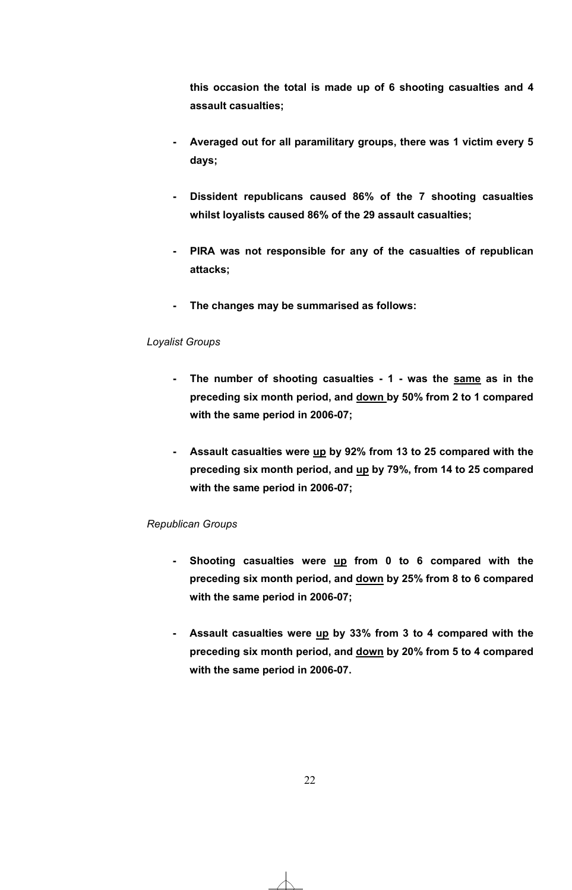**this occasion the total is made up of 6 shooting casualties and 4 assault casualties;** 

- **Averaged out for all paramilitary groups, there was 1 victim every 5 days;**
- **Dissident republicans caused 86% of the 7 shooting casualties whilst loyalists caused 86% of the 29 assault casualties;**
- **PIRA was not responsible for any of the casualties of republican attacks;**
- **The changes may be summarised as follows:**

### *Loyalist Groups*

- **The number of shooting casualties 1 was the same as in the preceding six month period, and down by 50% from 2 to 1 compared with the same period in 2006-07;**
- **Assault casualties were up by 92% from 13 to 25 compared with the preceding six month period, and up by 79%, from 14 to 25 compared with the same period in 2006-07;**

### *Republican Groups*

- **Shooting casualties were up from 0 to 6 compared with the preceding six month period, and down by 25% from 8 to 6 compared with the same period in 2006-07;**
- **Assault casualties were up by 33% from 3 to 4 compared with the preceding six month period, and down by 20% from 5 to 4 compared with the same period in 2006-07.**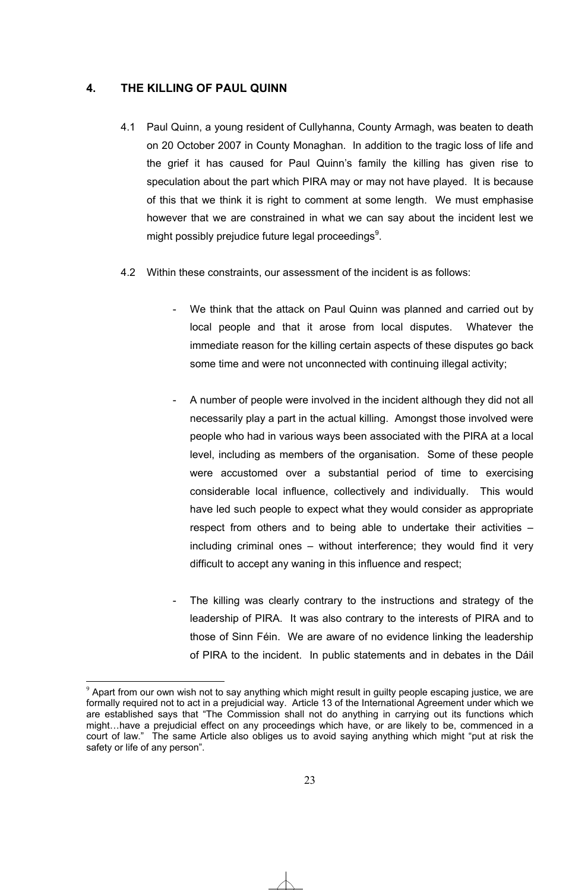### **4. THE KILLING OF PAUL QUINN**

- 4.1 Paul Quinn, a young resident of Cullyhanna, County Armagh, was beaten to death on 20 October 2007 in County Monaghan. In addition to the tragic loss of life and the grief it has caused for Paul Quinn's family the killing has given rise to speculation about the part which PIRA may or may not have played. It is because of this that we think it is right to comment at some length. We must emphasise however that we are constrained in what we can say about the incident lest we might possibly prejudice future legal proceedings $9$ .
- 4.2 Within these constraints, our assessment of the incident is as follows:
	- We think that the attack on Paul Quinn was planned and carried out by local people and that it arose from local disputes. Whatever the immediate reason for the killing certain aspects of these disputes go back some time and were not unconnected with continuing illegal activity;
	- A number of people were involved in the incident although they did not all necessarily play a part in the actual killing. Amongst those involved were people who had in various ways been associated with the PIRA at a local level, including as members of the organisation. Some of these people were accustomed over a substantial period of time to exercising considerable local influence, collectively and individually. This would have led such people to expect what they would consider as appropriate respect from others and to being able to undertake their activities – including criminal ones – without interference; they would find it very difficult to accept any waning in this influence and respect;
	- The killing was clearly contrary to the instructions and strategy of the leadership of PIRA. It was also contrary to the interests of PIRA and to those of Sinn Féin. We are aware of no evidence linking the leadership of PIRA to the incident. In public statements and in debates in the Dáil

 $\overline{a}$  $9$  Apart from our own wish not to say anything which might result in guilty people escaping justice, we are formally required not to act in a prejudicial way. Article 13 of the International Agreement under which we are established says that "The Commission shall not do anything in carrying out its functions which might…have a prejudicial effect on any proceedings which have, or are likely to be, commenced in a court of law." The same Article also obliges us to avoid saying anything which might "put at risk the safety or life of any person".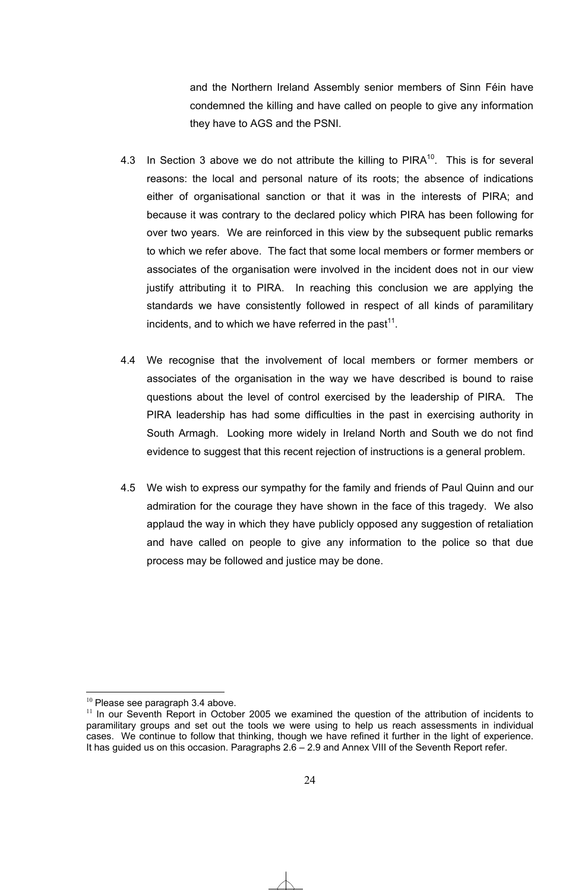and the Northern Ireland Assembly senior members of Sinn Féin have condemned the killing and have called on people to give any information they have to AGS and the PSNI.

- 4.3 In Section 3 above we do not attribute the killing to  $PIRA^{10}$ . This is for several reasons: the local and personal nature of its roots; the absence of indications either of organisational sanction or that it was in the interests of PIRA; and because it was contrary to the declared policy which PIRA has been following for over two years. We are reinforced in this view by the subsequent public remarks to which we refer above. The fact that some local members or former members or associates of the organisation were involved in the incident does not in our view justify attributing it to PIRA. In reaching this conclusion we are applying the standards we have consistently followed in respect of all kinds of paramilitary incidents, and to which we have referred in the past<sup>11</sup>.
- 4.4 We recognise that the involvement of local members or former members or associates of the organisation in the way we have described is bound to raise questions about the level of control exercised by the leadership of PIRA. The PIRA leadership has had some difficulties in the past in exercising authority in South Armagh. Looking more widely in Ireland North and South we do not find evidence to suggest that this recent rejection of instructions is a general problem.
- 4.5 We wish to express our sympathy for the family and friends of Paul Quinn and our admiration for the courage they have shown in the face of this tragedy. We also applaud the way in which they have publicly opposed any suggestion of retaliation and have called on people to give any information to the police so that due process may be followed and justice may be done.

 $\overline{a}$ 

 $10$  Please see paragraph 3.4 above.<br> $11$  In our Seventh Report in October 2005 we examined the question of the attribution of incidents to paramilitary groups and set out the tools we were using to help us reach assessments in individual cases. We continue to follow that thinking, though we have refined it further in the light of experience. It has guided us on this occasion. Paragraphs 2.6 – 2.9 and Annex VIII of the Seventh Report refer.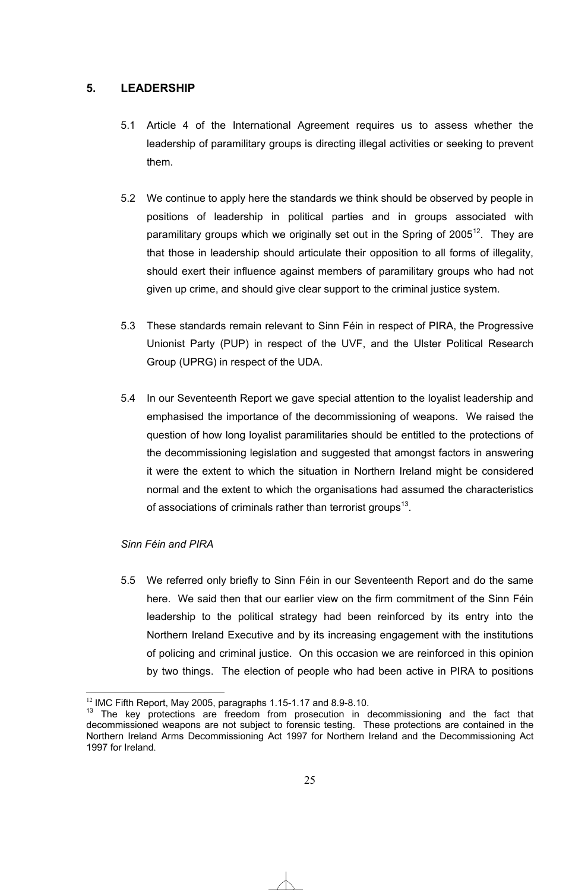### **5. LEADERSHIP**

- 5.1 Article 4 of the International Agreement requires us to assess whether the leadership of paramilitary groups is directing illegal activities or seeking to prevent them.
- 5.2 We continue to apply here the standards we think should be observed by people in positions of leadership in political parties and in groups associated with paramilitary groups which we originally set out in the Spring of  $2005<sup>12</sup>$ . They are that those in leadership should articulate their opposition to all forms of illegality, should exert their influence against members of paramilitary groups who had not given up crime, and should give clear support to the criminal justice system.
- 5.3 These standards remain relevant to Sinn Féin in respect of PIRA, the Progressive Unionist Party (PUP) in respect of the UVF, and the Ulster Political Research Group (UPRG) in respect of the UDA.
- 5.4 In our Seventeenth Report we gave special attention to the loyalist leadership and emphasised the importance of the decommissioning of weapons. We raised the question of how long loyalist paramilitaries should be entitled to the protections of the decommissioning legislation and suggested that amongst factors in answering it were the extent to which the situation in Northern Ireland might be considered normal and the extent to which the organisations had assumed the characteristics of associations of criminals rather than terrorist groups<sup>13</sup>.

### *Sinn Féin and PIRA*

 $\overline{a}$ 

5.5 We referred only briefly to Sinn Féin in our Seventeenth Report and do the same here. We said then that our earlier view on the firm commitment of the Sinn Féin leadership to the political strategy had been reinforced by its entry into the Northern Ireland Executive and by its increasing engagement with the institutions of policing and criminal justice. On this occasion we are reinforced in this opinion by two things. The election of people who had been active in PIRA to positions

<sup>&</sup>lt;sup>12</sup> IMC Fifth Report, May 2005, paragraphs 1.15-1.17 and 8.9-8.10.<br><sup>13</sup> The key protections are freedom from prosecution in decommissioning and the fact that decommissioned weapons are not subject to forensic testing. These protections are contained in the Northern Ireland Arms Decommissioning Act 1997 for Northern Ireland and the Decommissioning Act 1997 for Ireland.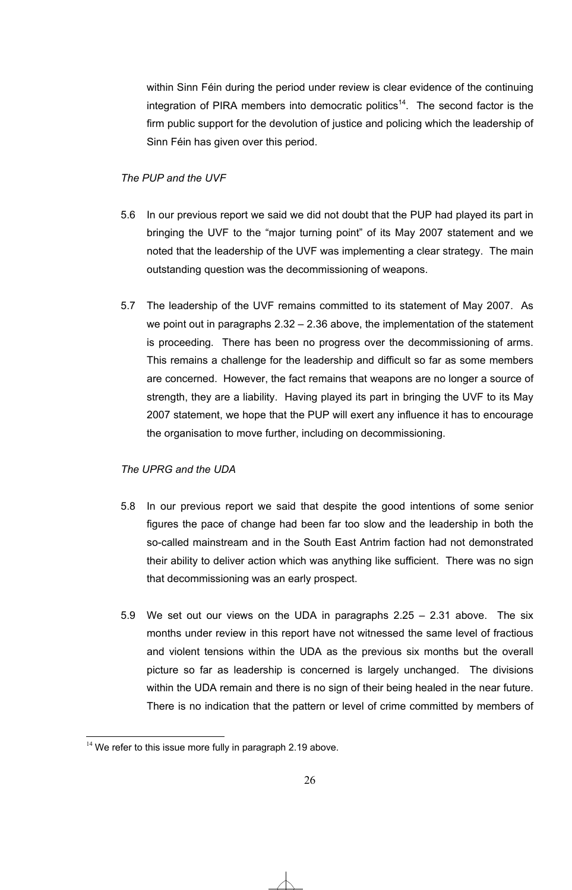within Sinn Féin during the period under review is clear evidence of the continuing integration of PIRA members into democratic politics<sup>14</sup>. The second factor is the firm public support for the devolution of justice and policing which the leadership of Sinn Féin has given over this period.

### *The PUP and the UVF*

- 5.6 In our previous report we said we did not doubt that the PUP had played its part in bringing the UVF to the "major turning point" of its May 2007 statement and we noted that the leadership of the UVF was implementing a clear strategy. The main outstanding question was the decommissioning of weapons.
- 5.7 The leadership of the UVF remains committed to its statement of May 2007. As we point out in paragraphs 2.32 – 2.36 above, the implementation of the statement is proceeding. There has been no progress over the decommissioning of arms. This remains a challenge for the leadership and difficult so far as some members are concerned. However, the fact remains that weapons are no longer a source of strength, they are a liability. Having played its part in bringing the UVF to its May 2007 statement, we hope that the PUP will exert any influence it has to encourage the organisation to move further, including on decommissioning.

### *The UPRG and the UDA*

- 5.8 In our previous report we said that despite the good intentions of some senior figures the pace of change had been far too slow and the leadership in both the so-called mainstream and in the South East Antrim faction had not demonstrated their ability to deliver action which was anything like sufficient. There was no sign that decommissioning was an early prospect.
- 5.9 We set out our views on the UDA in paragraphs 2.25 2.31 above. The six months under review in this report have not witnessed the same level of fractious and violent tensions within the UDA as the previous six months but the overall picture so far as leadership is concerned is largely unchanged. The divisions within the UDA remain and there is no sign of their being healed in the near future. There is no indication that the pattern or level of crime committed by members of

 $\overline{a}$  $14$  We refer to this issue more fully in paragraph 2.19 above.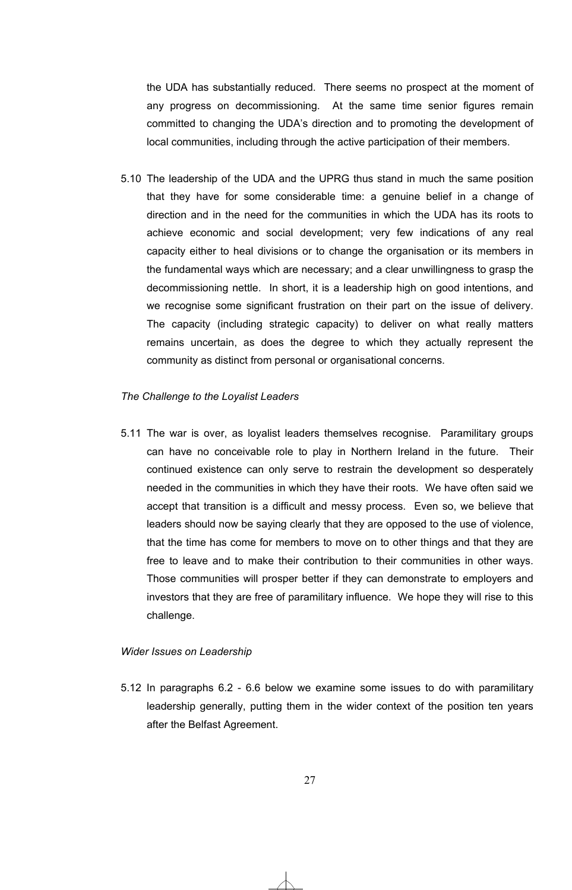the UDA has substantially reduced. There seems no prospect at the moment of any progress on decommissioning. At the same time senior figures remain committed to changing the UDA's direction and to promoting the development of local communities, including through the active participation of their members.

5.10 The leadership of the UDA and the UPRG thus stand in much the same position that they have for some considerable time: a genuine belief in a change of direction and in the need for the communities in which the UDA has its roots to achieve economic and social development; very few indications of any real capacity either to heal divisions or to change the organisation or its members in the fundamental ways which are necessary; and a clear unwillingness to grasp the decommissioning nettle. In short, it is a leadership high on good intentions, and we recognise some significant frustration on their part on the issue of delivery. The capacity (including strategic capacity) to deliver on what really matters remains uncertain, as does the degree to which they actually represent the community as distinct from personal or organisational concerns.

### *The Challenge to the Loyalist Leaders*

5.11 The war is over, as loyalist leaders themselves recognise. Paramilitary groups can have no conceivable role to play in Northern Ireland in the future. Their continued existence can only serve to restrain the development so desperately needed in the communities in which they have their roots. We have often said we accept that transition is a difficult and messy process. Even so, we believe that leaders should now be saying clearly that they are opposed to the use of violence, that the time has come for members to move on to other things and that they are free to leave and to make their contribution to their communities in other ways. Those communities will prosper better if they can demonstrate to employers and investors that they are free of paramilitary influence. We hope they will rise to this challenge.

### *Wider Issues on Leadership*

5.12 In paragraphs 6.2 - 6.6 below we examine some issues to do with paramilitary leadership generally, putting them in the wider context of the position ten years after the Belfast Agreement.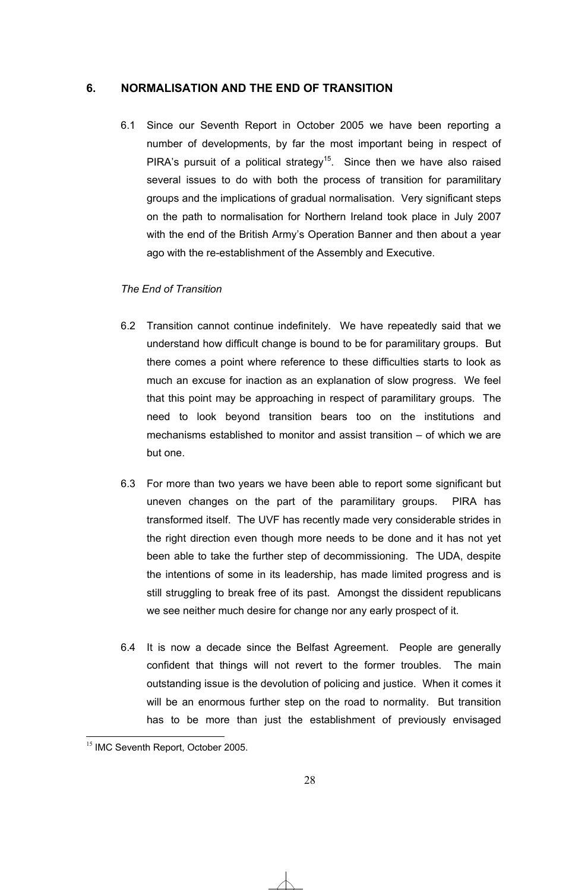### **6. NORMALISATION AND THE END OF TRANSITION**

6.1 Since our Seventh Report in October 2005 we have been reporting a number of developments, by far the most important being in respect of PIRA's pursuit of a political strategy<sup>15</sup>. Since then we have also raised several issues to do with both the process of transition for paramilitary groups and the implications of gradual normalisation. Very significant steps on the path to normalisation for Northern Ireland took place in July 2007 with the end of the British Army's Operation Banner and then about a year ago with the re-establishment of the Assembly and Executive.

### *The End of Transition*

- 6.2 Transition cannot continue indefinitely. We have repeatedly said that we understand how difficult change is bound to be for paramilitary groups. But there comes a point where reference to these difficulties starts to look as much an excuse for inaction as an explanation of slow progress. We feel that this point may be approaching in respect of paramilitary groups. The need to look beyond transition bears too on the institutions and mechanisms established to monitor and assist transition – of which we are but one.
- 6.3 For more than two years we have been able to report some significant but uneven changes on the part of the paramilitary groups. PIRA has transformed itself. The UVF has recently made very considerable strides in the right direction even though more needs to be done and it has not yet been able to take the further step of decommissioning. The UDA, despite the intentions of some in its leadership, has made limited progress and is still struggling to break free of its past. Amongst the dissident republicans we see neither much desire for change nor any early prospect of it.
- 6.4 It is now a decade since the Belfast Agreement. People are generally confident that things will not revert to the former troubles. The main outstanding issue is the devolution of policing and justice. When it comes it will be an enormous further step on the road to normality. But transition has to be more than just the establishment of previously envisaged

 $\overline{a}$ <sup>15</sup> IMC Seventh Report, October 2005.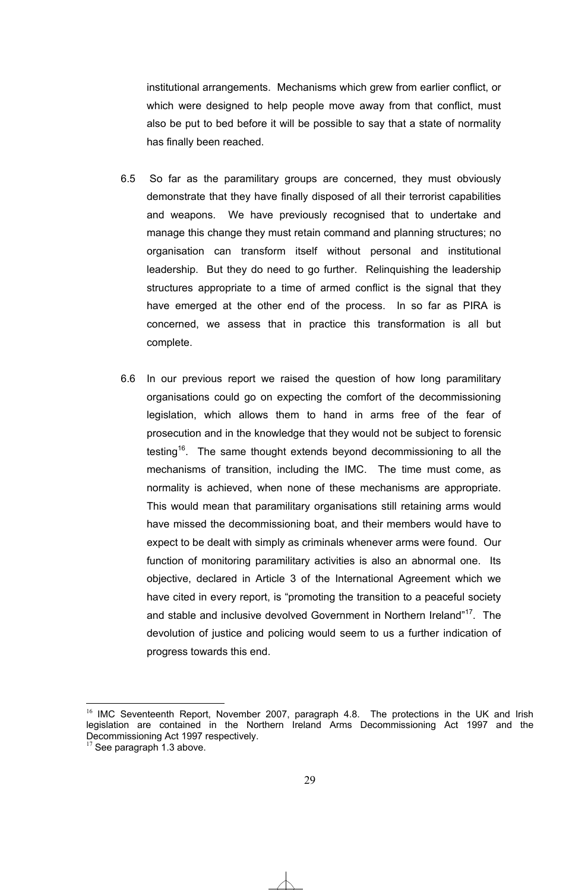institutional arrangements. Mechanisms which grew from earlier conflict, or which were designed to help people move away from that conflict, must also be put to bed before it will be possible to say that a state of normality has finally been reached.

- 6.5 So far as the paramilitary groups are concerned, they must obviously demonstrate that they have finally disposed of all their terrorist capabilities and weapons. We have previously recognised that to undertake and manage this change they must retain command and planning structures; no organisation can transform itself without personal and institutional leadership. But they do need to go further. Relinquishing the leadership structures appropriate to a time of armed conflict is the signal that they have emerged at the other end of the process. In so far as PIRA is concerned, we assess that in practice this transformation is all but complete.
- 6.6 In our previous report we raised the question of how long paramilitary organisations could go on expecting the comfort of the decommissioning legislation, which allows them to hand in arms free of the fear of prosecution and in the knowledge that they would not be subject to forensic testing<sup>16</sup>. The same thought extends beyond decommissioning to all the mechanisms of transition, including the IMC. The time must come, as normality is achieved, when none of these mechanisms are appropriate. This would mean that paramilitary organisations still retaining arms would have missed the decommissioning boat, and their members would have to expect to be dealt with simply as criminals whenever arms were found. Our function of monitoring paramilitary activities is also an abnormal one. Its objective, declared in Article 3 of the International Agreement which we have cited in every report, is "promoting the transition to a peaceful society and stable and inclusive devolved Government in Northern Ireland"<sup>17</sup>. The devolution of justice and policing would seem to us a further indication of progress towards this end.

 $\overline{a}$ 

<sup>&</sup>lt;sup>16</sup> IMC Seventeenth Report, November 2007, paragraph 4.8. The protections in the UK and Irish legislation are contained in the Northern Ireland Arms Decommissioning Act 1997 and the Decommissioning Act 1997 respectively.

 $17$  See paragraph 1.3 above.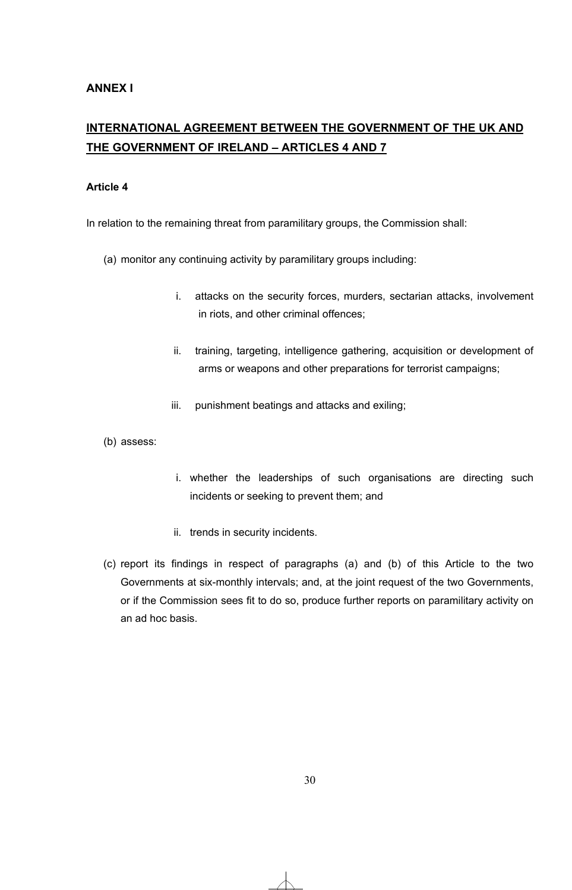## **INTERNATIONAL AGREEMENT BETWEEN THE GOVERNMENT OF THE UK AND THE GOVERNMENT OF IRELAND – ARTICLES 4 AND 7**

### **Article 4**

In relation to the remaining threat from paramilitary groups, the Commission shall:

- (a) monitor any continuing activity by paramilitary groups including:
	- i. attacks on the security forces, murders, sectarian attacks, involvement in riots, and other criminal offences;
	- ii. training, targeting, intelligence gathering, acquisition or development of arms or weapons and other preparations for terrorist campaigns;
	- iii. punishment beatings and attacks and exiling;
- (b) assess:
- i. whether the leaderships of such organisations are directing such incidents or seeking to prevent them; and
- ii. trends in security incidents.
- (c) report its findings in respect of paragraphs (a) and (b) of this Article to the two Governments at six-monthly intervals; and, at the joint request of the two Governments, or if the Commission sees fit to do so, produce further reports on paramilitary activity on an ad hoc basis.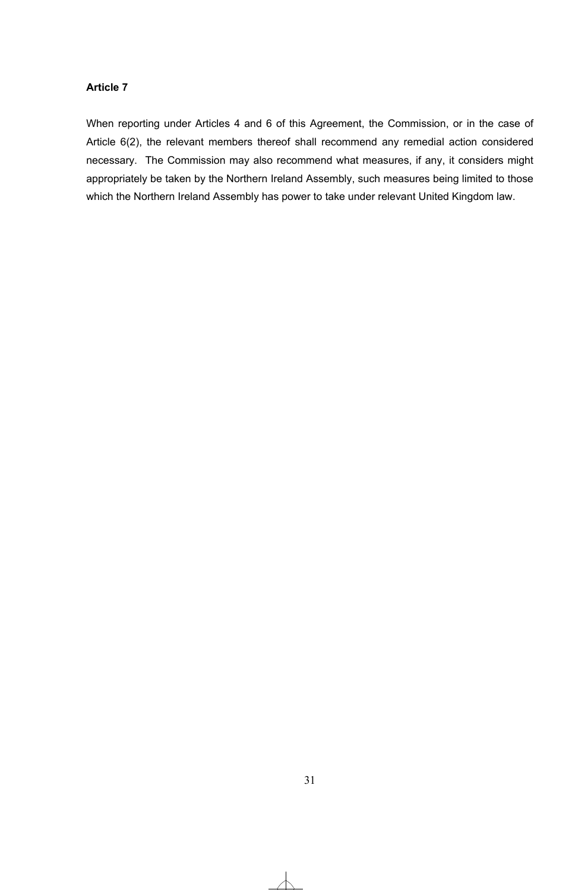### **Article 7**

When reporting under Articles 4 and 6 of this Agreement, the Commission, or in the case of Article 6(2), the relevant members thereof shall recommend any remedial action considered necessary. The Commission may also recommend what measures, if any, it considers might appropriately be taken by the Northern Ireland Assembly, such measures being limited to those which the Northern Ireland Assembly has power to take under relevant United Kingdom law.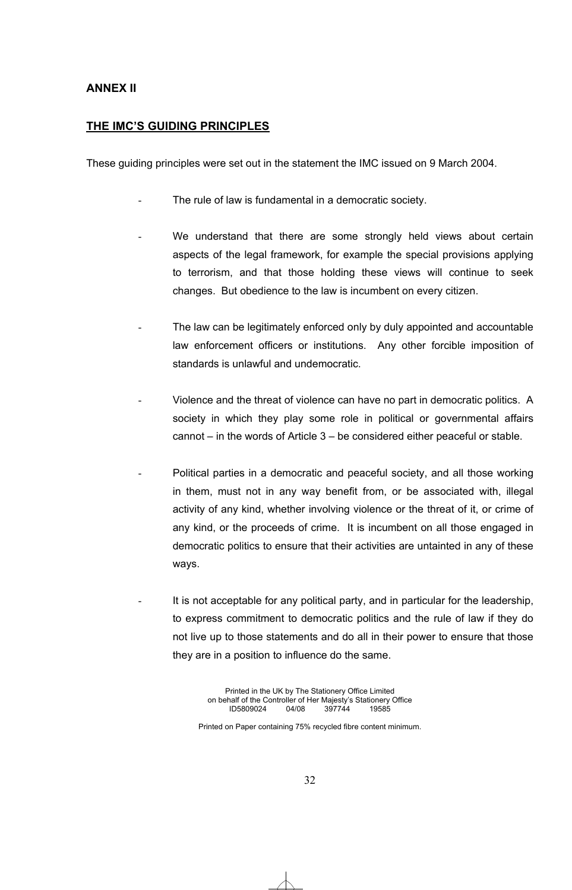### **ANNEX II**

### **THE IMC'S GUIDING PRINCIPLES**

These guiding principles were set out in the statement the IMC issued on 9 March 2004.

- The rule of law is fundamental in a democratic society.
- We understand that there are some strongly held views about certain aspects of the legal framework, for example the special provisions applying to terrorism, and that those holding these views will continue to seek changes. But obedience to the law is incumbent on every citizen.
- The law can be legitimately enforced only by duly appointed and accountable law enforcement officers or institutions. Any other forcible imposition of standards is unlawful and undemocratic.
- Violence and the threat of violence can have no part in democratic politics. A society in which they play some role in political or governmental affairs cannot – in the words of Article 3 – be considered either peaceful or stable.
- Political parties in a democratic and peaceful society, and all those working in them, must not in any way benefit from, or be associated with, illegal activity of any kind, whether involving violence or the threat of it, or crime of any kind, or the proceeds of crime. It is incumbent on all those engaged in democratic politics to ensure that their activities are untainted in any of these ways.
- It is not acceptable for any political party, and in particular for the leadership, to express commitment to democratic politics and the rule of law if they do not live up to those statements and do all in their power to ensure that those they are in a position to influence do the same.

Printed in the UK by The Stationery Office Limited on behalf of the Controller of Her Majesty's Stationery Office<br>ID5809024 04/08 397744 19585 ID5809024

Printed on Paper containing 75% recycled fibre content minimum.